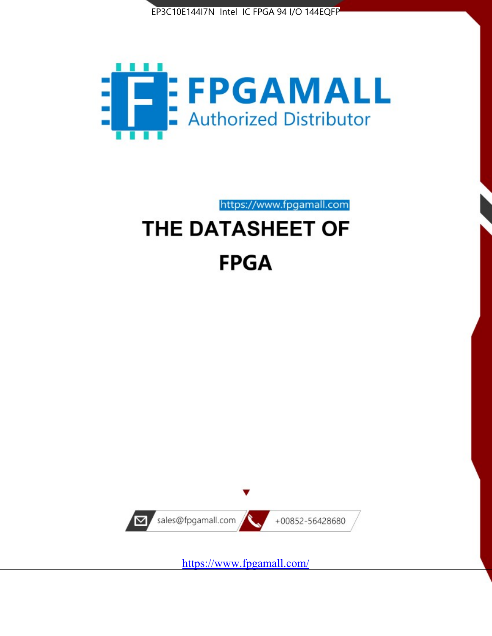



https://www.fpgamall.com

# THE DATASHEET OF **FPGA**



<https://www.fpgamall.com/>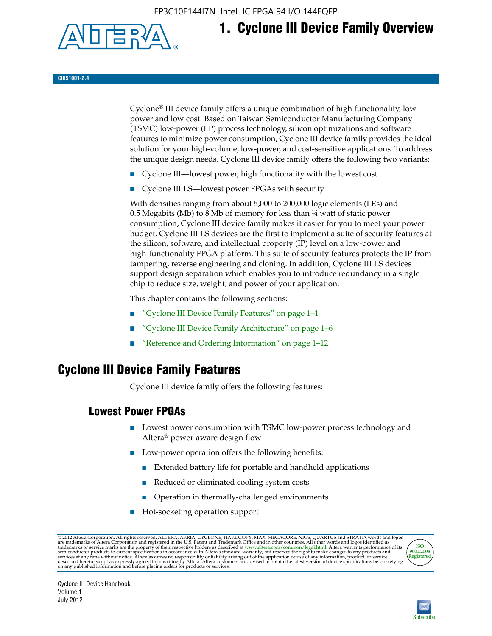EP3C10E144I7N Intel IC FPGA 94 I/O 144EQFP



# **1. Cyclone III Device Family Overview**

**CIII51001-2.4**

Cyclone® III device family offers a unique combination of high functionality, low power and low cost. Based on Taiwan Semiconductor Manufacturing Company (TSMC) low-power (LP) process technology, silicon optimizations and software features to minimize power consumption, Cyclone III device family provides the ideal solution for your high-volume, low-power, and cost-sensitive applications. To address the unique design needs, Cyclone III device family offers the following two variants:

- Cyclone III—lowest power, high functionality with the lowest cost
- Cyclone III LS—lowest power FPGAs with security

With densities ranging from about 5,000 to 200,000 logic elements (LEs) and 0.5 Megabits (Mb) to 8 Mb of memory for less than  $\frac{1}{4}$  watt of static power consumption, Cyclone III device family makes it easier for you to meet your power budget. Cyclone III LS devices are the first to implement a suite of security features at the silicon, software, and intellectual property (IP) level on a low-power and high-functionality FPGA platform. This suite of security features protects the IP from tampering, reverse engineering and cloning. In addition, Cyclone III LS devices support design separation which enables you to introduce redundancy in a single chip to reduce size, weight, and power of your application.

This chapter contains the following sections:

- "Cyclone III Device Family Features" on page 1–1
- "Cyclone III Device Family Architecture" on page 1–6
- "Reference and Ordering Information" on page 1–12

### **Cyclone III Device Family Features**

Cyclone III device family offers the following features:

#### **Lowest Power FPGAs**

- Lowest power consumption with TSMC low-power process technology and Altera® power-aware design flow
- Low-power operation offers the following benefits:
	- Extended battery life for portable and handheld applications
	- Reduced or eliminated cooling system costs
	- Operation in thermally-challenged environments
- Hot-socketing operation support

@ 2012 Altera Corporation. All rights reserved. ALTERA, ARRIA, CYCLONE, HARDCOPY, MAX, MEGACORE, NIOS, QUARTUS and STRATIX words and logos are trademarks of Altera Corporation and registered in the U.S. Patent and Trademar



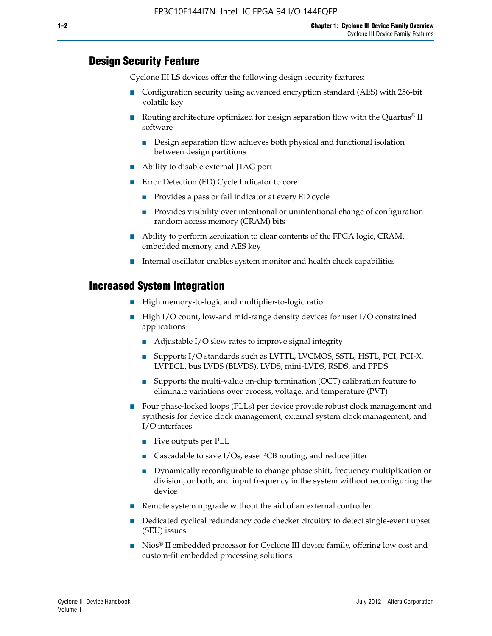#### **Design Security Feature**

Cyclone III LS devices offer the following design security features:

- Configuration security using advanced encryption standard (AES) with 256-bit volatile key
- **■** Routing architecture optimized for design separation flow with the Quartus<sup>®</sup> II software
	- Design separation flow achieves both physical and functional isolation between design partitions
- Ability to disable external JTAG port
- Error Detection (ED) Cycle Indicator to core
	- Provides a pass or fail indicator at every ED cycle
	- Provides visibility over intentional or unintentional change of configuration random access memory (CRAM) bits
- Ability to perform zeroization to clear contents of the FPGA logic, CRAM, embedded memory, and AES key
- Internal oscillator enables system monitor and health check capabilities

#### **Increased System Integration**

- High memory-to-logic and multiplier-to-logic ratio
- High I/O count, low-and mid-range density devices for user I/O constrained applications
	- Adjustable I/O slew rates to improve signal integrity
	- Supports I/O standards such as LVTTL, LVCMOS, SSTL, HSTL, PCI, PCI-X, LVPECL, bus LVDS (BLVDS), LVDS, mini-LVDS, RSDS, and PPDS
	- Supports the multi-value on-chip termination (OCT) calibration feature to eliminate variations over process, voltage, and temperature (PVT)
- Four phase-locked loops (PLLs) per device provide robust clock management and synthesis for device clock management, external system clock management, and I/O interfaces
	- Five outputs per PLL
	- Cascadable to save I/Os, ease PCB routing, and reduce jitter
	- Dynamically reconfigurable to change phase shift, frequency multiplication or division, or both, and input frequency in the system without reconfiguring the device
- Remote system upgrade without the aid of an external controller
- Dedicated cyclical redundancy code checker circuitry to detect single-event upset (SEU) issues
- Nios<sup>®</sup> II embedded processor for Cyclone III device family, offering low cost and custom-fit embedded processing solutions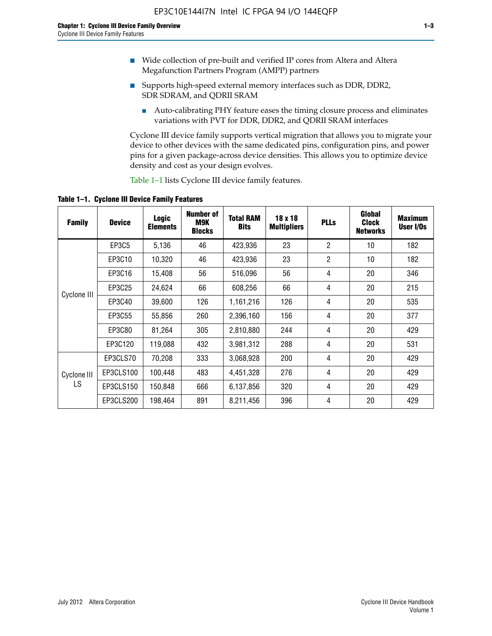- Wide collection of pre-built and verified IP cores from Altera and Altera Megafunction Partners Program (AMPP) partners
- Supports high-speed external memory interfaces such as DDR, DDR2, SDR SDRAM, and QDRII SRAM
	- Auto-calibrating PHY feature eases the timing closure process and eliminates variations with PVT for DDR, DDR2, and QDRII SRAM interfaces

Cyclone III device family supports vertical migration that allows you to migrate your device to other devices with the same dedicated pins, configuration pins, and power pins for a given package-across device densities. This allows you to optimize device density and cost as your design evolves.

Table 1–1 lists Cyclone III device family features.

**Table 1–1. Cyclone III Device Family Features**

| <b>Family</b> | <b>Device</b> | <b>Logic</b><br><b>Elements</b> | <b>Number of</b><br>M9K<br><b>Blocks</b> | <b>Total RAM</b><br><b>Bits</b> | 18 x 18<br><b>Multipliers</b> | <b>PLLs</b>    | Global<br><b>Clock</b><br><b>Networks</b> | <b>Maximum</b><br>User I/Os |
|---------------|---------------|---------------------------------|------------------------------------------|---------------------------------|-------------------------------|----------------|-------------------------------------------|-----------------------------|
|               | EP3C5         | 5,136                           | 46                                       | 423,936                         | 23                            | $\overline{2}$ | 10                                        | 182                         |
|               | EP3C10        | 10,320                          | 46                                       | 423,936                         | 23                            | $\overline{2}$ | 10                                        | 182                         |
|               | EP3C16        | 15,408                          | 56                                       | 516,096                         | 56                            | 4              | 20                                        | 346                         |
|               | EP3C25        | 24,624                          | 66                                       | 608,256                         | 66                            | 4              | 20                                        | 215                         |
| Cyclone III   | EP3C40        | 39,600                          | 126                                      | 1,161,216                       | 126                           | 4              | 20                                        | 535                         |
|               | EP3C55        | 55,856                          | 260                                      | 2,396,160                       | 156                           | 4              | 20                                        | 377                         |
|               | EP3C80        | 81,264                          | 305                                      | 2,810,880                       | 244                           | 4              | 20                                        | 429                         |
|               | EP3C120       | 119,088                         | 432                                      | 3,981,312                       | 288                           | 4              | 20                                        | 531                         |
|               | EP3CLS70      | 70,208                          | 333                                      | 3,068,928                       | 200                           | 4              | 20                                        | 429                         |
| Cyclone III   | EP3CLS100     | 100,448                         | 483                                      | 4,451,328                       | 276                           | 4              | 20                                        | 429                         |
| LS            | EP3CLS150     | 150,848                         | 666                                      | 6,137,856                       | 320                           | 4              | 20                                        | 429                         |
|               | EP3CLS200     | 198,464                         | 891                                      | 8,211,456                       | 396                           | 4              | 20                                        | 429                         |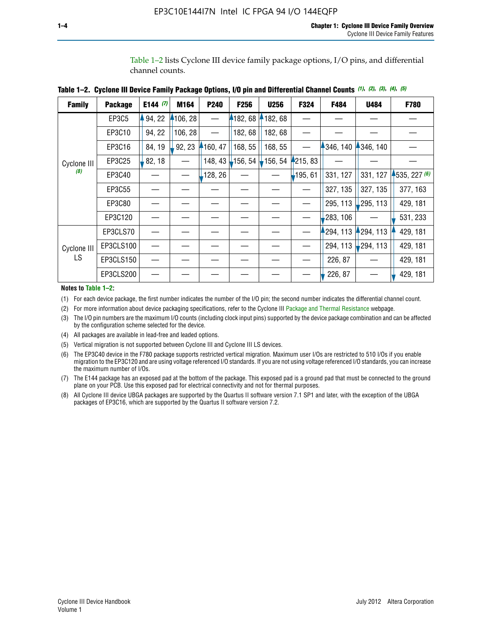Table 1–2 lists Cyclone III device family package options, I/O pins, and differential channel counts.

| <b>Family</b> | <b>Package</b> | E144 $(7)$ | M164     | P240                     | F256       | <b>U256</b> | F324                     | F484                    | U484                   | F780         |
|---------------|----------------|------------|----------|--------------------------|------------|-------------|--------------------------|-------------------------|------------------------|--------------|
|               | EP3C5          | 94, 22     | 4106, 28 |                          | 4182,68    | 182,68      |                          |                         |                        |              |
|               | EP3C10         | 94, 22     | 106, 28  | $\overline{\phantom{0}}$ | 182, 68    | 182, 68     |                          |                         |                        |              |
|               | EP3C16         | 84, 19     | 92, 23   | 4160, 47                 | 168, 55    | 168, 55     | $\overline{\phantom{0}}$ | $4346, 140$ $4346, 140$ |                        |              |
| Cyclone III   | EP3C25         | 82, 18     |          | 148, 43                  | $-156, 54$ | 156, 54     | 215, 83                  |                         |                        |              |
| (8)           | EP3C40         |            |          | 128, 26                  |            |             | 195, 61                  | 331, 127                | 331, 127               | 4535, 227(6) |
|               | EP3C55         |            |          |                          |            |             |                          | 327, 135                | 327, 135               | 377, 163     |
|               | EP3C80         |            |          |                          |            |             |                          | 295, 113                | $\downarrow$ 295, 113  | 429, 181     |
|               | EP3C120        |            |          |                          |            |             |                          | 283, 106                |                        | 531, 233     |
|               | EP3CLS70       |            |          |                          |            |             |                          | 294, 113                | 294, 113               | 429, 181     |
| Cyclone III   | EP3CLS100      |            |          |                          |            |             |                          | 294, 113                | $\frac{1}{2}$ 294, 113 | 429, 181     |
| LS.           | EP3CLS150      |            |          |                          |            |             |                          | 226, 87                 |                        | 429, 181     |
|               | EP3CLS200      |            |          |                          |            |             |                          | 226, 87                 |                        | 429, 181     |

|  | Table 1–2. Cyclone III Device Family Package Options, I/O pin and Differential Channel Counts (1), (2), (3), (4), (5) |  |  |  |  |  |  |  |  |
|--|-----------------------------------------------------------------------------------------------------------------------|--|--|--|--|--|--|--|--|
|--|-----------------------------------------------------------------------------------------------------------------------|--|--|--|--|--|--|--|--|

**Notes to Table 1–2:**

(1) For each device package, the first number indicates the number of the I/O pin; the second number indicates the differential channel count.

(2) For more information about device packaging specifications, refer to the Cyclone III [Package and Thermal Resistance](http://www.altera.com/support/devices/packaging/specifications/pkg-pin/dev-package-listing.jsp?device=Cyclone_III) webpage.

(3) The I/O pin numbers are the maximum I/O counts (including clock input pins) supported by the device package combination and can be affected by the configuration scheme selected for the device.

(4) All packages are available in lead-free and leaded options.

(5) Vertical migration is not supported between Cyclone III and Cyclone III LS devices.

(6) The EP3C40 device in the F780 package supports restricted vertical migration. Maximum user I/Os are restricted to 510 I/Os if you enable migration to the EP3C120 and are using voltage referenced I/O standards. If you are not using voltage referenced I/O standards, you can increase the maximum number of I/Os.

(7) The E144 package has an exposed pad at the bottom of the package. This exposed pad is a ground pad that must be connected to the ground plane on your PCB. Use this exposed pad for electrical connectivity and not for thermal purposes.

(8) All Cyclone III device UBGA packages are supported by the Quartus II software version 7.1 SP1 and later, with the exception of the UBGA packages of EP3C16, which are supported by the Quartus II software version 7.2.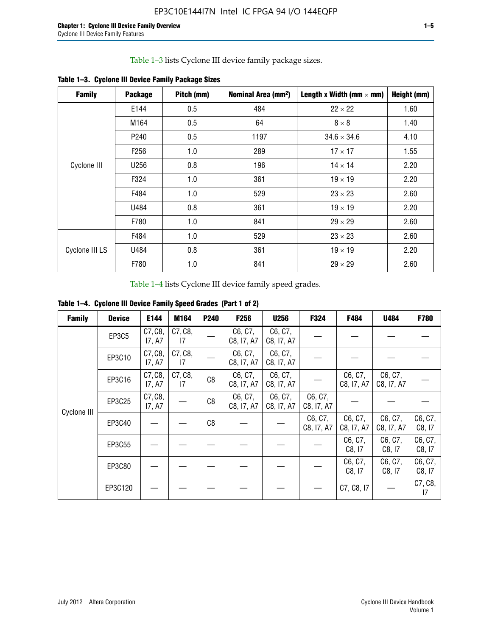Table 1–3 lists Cyclone III device family package sizes.

| <b>Family</b>  | <b>Package</b>   | Pitch (mm) | Nominal Area (mm <sup>2</sup> ) | Length x Width (mm $\times$ mm) | Height (mm) |
|----------------|------------------|------------|---------------------------------|---------------------------------|-------------|
|                | E144             | 0.5        | 484                             | $22 \times 22$                  | 1.60        |
|                | M164             | 0.5        | 64                              | $8 \times 8$                    | 1.40        |
|                | P <sub>240</sub> | 0.5        | 1197                            | $34.6 \times 34.6$              | 4.10        |
|                | F <sub>256</sub> | 1.0        | 289                             | $17 \times 17$                  | 1.55        |
| Cyclone III    | U256             | 0.8        | 196                             | $14 \times 14$                  | 2.20        |
|                | F324             | 1.0        | 361                             | $19 \times 19$                  | 2.20        |
|                | F484             | 1.0        | 529                             | $23 \times 23$                  | 2.60        |
|                | U484             | 0.8        | 361                             | $19 \times 19$                  | 2.20        |
|                | F780             | 1.0        | 841                             | $29 \times 29$                  | 2.60        |
|                | F484             | 1.0        | 529                             | $23 \times 23$                  | 2.60        |
| Cyclone III LS | U484             | 0.8        | 361                             | $19 \times 19$                  | 2.20        |
|                | F780             | 1.0        | 841                             | $29 \times 29$                  | 2.60        |

**Table 1–3. Cyclone III Device Family Package Sizes**

Table 1–4 lists Cyclone III device family speed grades.

**Table 1–4. Cyclone III Device Family Speed Grades (Part 1 of 2)**

| <b>Family</b> | <b>Device</b> | E144              | M164          | <b>P240</b> | F <sub>256</sub>      | <b>U256</b>           | F324                  | F484                  | U484                  | <b>F780</b>       |
|---------------|---------------|-------------------|---------------|-------------|-----------------------|-----------------------|-----------------------|-----------------------|-----------------------|-------------------|
|               | <b>EP3C5</b>  | C7, C8,<br>I7, A7 | C7, C8,<br>17 |             | C6, C7,<br>C8, I7, A7 | C6, C7,<br>C8, I7, A7 |                       |                       |                       |                   |
|               | EP3C10        | C7, C8,<br>17, A7 | C7, C8,<br>17 |             | C6, C7,<br>C8, I7, A7 | C6, C7,<br>C8, I7, A7 |                       |                       |                       |                   |
|               | EP3C16        | C7, C8,<br>17, A7 | C7, C8,<br>17 | C8          | C6, C7,<br>C8, I7, A7 | C6, C7,<br>C8, I7, A7 |                       | C6, C7,<br>C8, I7, A7 | C6, C7,<br>C8, I7, A7 |                   |
| Cyclone III   | EP3C25        | C7, C8,<br>17, A7 |               | C8          | C6, C7,<br>C8, I7, A7 | C6, C7,<br>C8, I7, A7 | C6, C7,<br>C8, I7, A7 |                       |                       |                   |
|               | EP3C40        |                   |               | C8          |                       |                       | C6, C7,<br>C8, I7, A7 | C6, C7,<br>C8, I7, A7 | C6, C7,<br>C8, I7, A7 | C6, C7,<br>C8, 17 |
|               | EP3C55        |                   |               |             |                       |                       |                       | C6, C7,<br>C8, 17     | C6, C7,<br>C8, 17     | C6, C7,<br>C8, 17 |
|               | EP3C80        |                   |               |             |                       |                       |                       | C6, C7,<br>C8, 17     | C6, C7,<br>C8, 17     | C6, C7,<br>C8, 17 |
|               | EP3C120       |                   |               |             |                       |                       |                       | C7, C8, I7            |                       | C7, C8,<br>17     |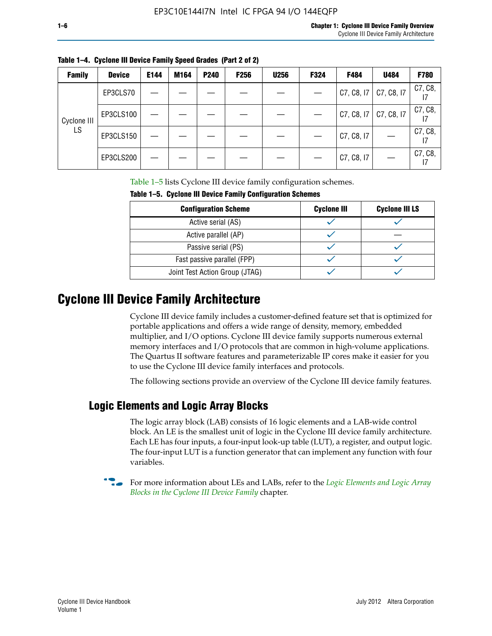|  | Table 1–4. Cyclone III Device Family Speed Grades (Part 2 of 2) |  |
|--|-----------------------------------------------------------------|--|
|--|-----------------------------------------------------------------|--|

| <b>Family</b> | <b>Device</b> | E144 | M164 | P240 | <b>F256</b> | <b>U256</b> | F324 | F484       | U484       | <b>F780</b>   |
|---------------|---------------|------|------|------|-------------|-------------|------|------------|------------|---------------|
|               | EP3CLS70      |      |      |      |             |             |      | C7, C8, I7 | C7, C8, I7 | C7, C8,       |
| Cyclone III   | EP3CLS100     |      |      |      |             |             |      | C7, C8, I7 | C7, C8, I7 | C7, C8,       |
| LS            | EP3CLS150     |      |      |      |             |             |      | C7, C8, I7 |            | C7, C8,<br>17 |
|               | EP3CLS200     |      |      |      |             |             |      | C7, C8, I7 |            | C7, C8,<br>17 |

Table 1–5 lists Cyclone III device family configuration schemes.

| TABLE 1-9. CYCLUIC III DEVICE FAILIIIY CUILILUM ALIUII SCIIEIIIES |                    |                       |  |  |  |
|-------------------------------------------------------------------|--------------------|-----------------------|--|--|--|
| <b>Configuration Scheme</b>                                       | <b>Cyclone III</b> | <b>Cyclone III LS</b> |  |  |  |
| Active serial (AS)                                                |                    |                       |  |  |  |
| Active parallel (AP)                                              |                    |                       |  |  |  |
| Passive serial (PS)                                               |                    |                       |  |  |  |
| Fast passive parallel (FPP)                                       |                    |                       |  |  |  |
| Joint Test Action Group (JTAG)                                    |                    |                       |  |  |  |

**Table 1–5. Cyclone III Device Family Configuration Schemes**

## **Cyclone III Device Family Architecture**

Cyclone III device family includes a customer-defined feature set that is optimized for portable applications and offers a wide range of density, memory, embedded multiplier, and I/O options. Cyclone III device family supports numerous external memory interfaces and I/O protocols that are common in high-volume applications. The Quartus II software features and parameterizable IP cores make it easier for you to use the Cyclone III device family interfaces and protocols.

The following sections provide an overview of the Cyclone III device family features.

#### **Logic Elements and Logic Array Blocks**

The logic array block (LAB) consists of 16 logic elements and a LAB-wide control block. An LE is the smallest unit of logic in the Cyclone III device family architecture. Each LE has four inputs, a four-input look-up table (LUT), a register, and output logic. The four-input LUT is a function generator that can implement any function with four variables.

f For more information about LEs and LABs, refer to the *[Logic Elements and Logic Array](http://www.altera.com/literature/hb/cyc3/cyc3_ciii51002.pdf)  [Blocks in the Cyclone III Device Family](http://www.altera.com/literature/hb/cyc3/cyc3_ciii51002.pdf)* chapter.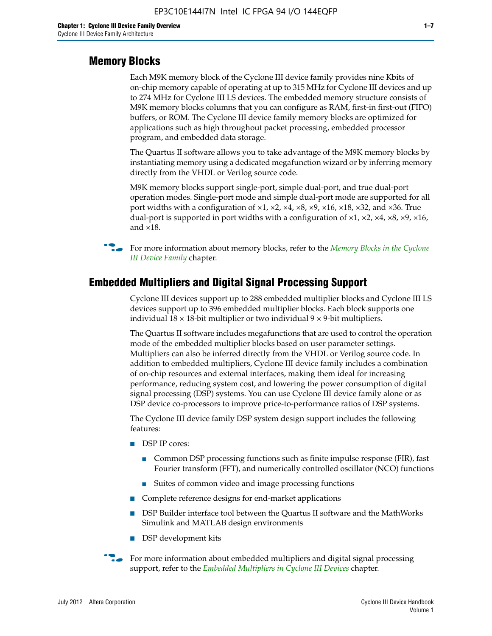#### **Memory Blocks**

Each M9K memory block of the Cyclone III device family provides nine Kbits of on-chip memory capable of operating at up to 315 MHz for Cyclone III devices and up to 274 MHz for Cyclone III LS devices. The embedded memory structure consists of M9K memory blocks columns that you can configure as RAM, first-in first-out (FIFO) buffers, or ROM. The Cyclone III device family memory blocks are optimized for applications such as high throughout packet processing, embedded processor program, and embedded data storage.

The Quartus II software allows you to take advantage of the M9K memory blocks by instantiating memory using a dedicated megafunction wizard or by inferring memory directly from the VHDL or Verilog source code.

M9K memory blocks support single-port, simple dual-port, and true dual-port operation modes. Single-port mode and simple dual-port mode are supported for all port widths with a configuration of  $\times1$ ,  $\times2$ ,  $\times4$ ,  $\times8$ ,  $\times9$ ,  $\times16$ ,  $\times18$ ,  $\times32$ , and  $\times36$ . True dual-port is supported in port widths with a configuration of  $\times$ 1,  $\times$ 2,  $\times$ 4,  $\times$ 8,  $\times$ 9,  $\times$ 16, and ×18.



**For more information about memory blocks, refer to the** *Memory Blocks in the Cyclone [III Device Family](http://www.altera.com/literature/hb/cyc3/cyc3_ciii51004.pdf)* chapter.

#### **Embedded Multipliers and Digital Signal Processing Support**

Cyclone III devices support up to 288 embedded multiplier blocks and Cyclone III LS devices support up to 396 embedded multiplier blocks. Each block supports one individual  $18 \times 18$ -bit multiplier or two individual  $9 \times 9$ -bit multipliers.

The Quartus II software includes megafunctions that are used to control the operation mode of the embedded multiplier blocks based on user parameter settings. Multipliers can also be inferred directly from the VHDL or Verilog source code. In addition to embedded multipliers, Cyclone III device family includes a combination of on-chip resources and external interfaces, making them ideal for increasing performance, reducing system cost, and lowering the power consumption of digital signal processing (DSP) systems. You can use Cyclone III device family alone or as DSP device co-processors to improve price-to-performance ratios of DSP systems.

The Cyclone III device family DSP system design support includes the following features:

- DSP IP cores:
	- Common DSP processing functions such as finite impulse response (FIR), fast Fourier transform (FFT), and numerically controlled oscillator (NCO) functions
	- Suites of common video and image processing functions
- Complete reference designs for end-market applications
- DSP Builder interface tool between the Quartus II software and the MathWorks Simulink and MATLAB design environments
- DSP development kits
- For more information about embedded multipliers and digital signal processing support, refer to the *[Embedded Multipliers in Cyclone III Devices](http://www.altera.com/literature/hb/cyc3/cyc3_ciii51005.pdf)* chapter.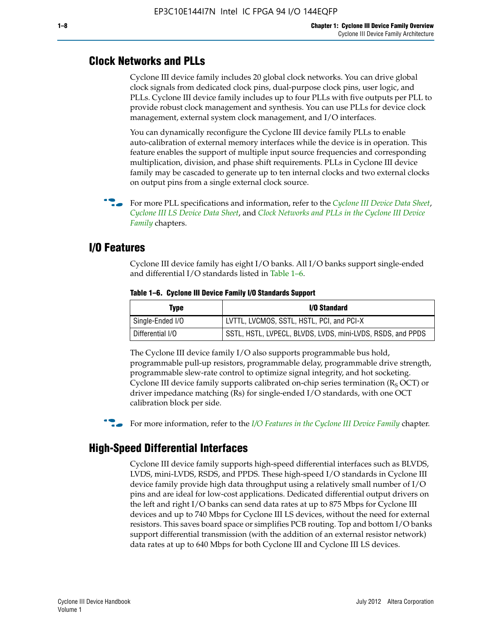#### **Clock Networks and PLLs**

Cyclone III device family includes 20 global clock networks. You can drive global clock signals from dedicated clock pins, dual-purpose clock pins, user logic, and PLLs. Cyclone III device family includes up to four PLLs with five outputs per PLL to provide robust clock management and synthesis. You can use PLLs for device clock management, external system clock management, and I/O interfaces.

You can dynamically reconfigure the Cyclone III device family PLLs to enable auto-calibration of external memory interfaces while the device is in operation. This feature enables the support of multiple input source frequencies and corresponding multiplication, division, and phase shift requirements. PLLs in Cyclone III device family may be cascaded to generate up to ten internal clocks and two external clocks on output pins from a single external clock source.

**For more PLL specifications and information, refer to the** *[Cyclone III Device Data Sheet](http://www.altera.com/literature/hb/cyc3/cyc3_ciii52001.pdf)***,** *[Cyclone III LS Device Data Sheet](http://www.altera.com/literature/hb/cyc3/cyc3_ciii52002.pdf)*, and *[Clock Networks and PLLs in the Cyclone III Device](http://www.altera.com/literature/hb/cyc3/cyc3_ciii51006.pdf)  [Family](http://www.altera.com/literature/hb/cyc3/cyc3_ciii51006.pdf)* chapters.

#### **I/O Features**

Cyclone III device family has eight I/O banks. All I/O banks support single-ended and differential I/O standards listed in Table 1–6.

| Type             | <b>I/O Standard</b>                                        |
|------------------|------------------------------------------------------------|
| Single-Ended I/O | LVTTL, LVCMOS, SSTL, HSTL, PCI, and PCI-X                  |
| Differential I/O | SSTL, HSTL, LVPECL, BLVDS, LVDS, mini-LVDS, RSDS, and PPDS |

**Table 1–6. Cyclone III Device Family I/O Standards Support** 

The Cyclone III device family I/O also supports programmable bus hold, programmable pull-up resistors, programmable delay, programmable drive strength, programmable slew-rate control to optimize signal integrity, and hot socketing. Cyclone III device family supports calibrated on-chip series termination ( $R_S$  OCT) or driver impedance matching (Rs) for single-ended I/O standards, with one OCT calibration block per side.

For more information, refer to the *[I/O Features in the Cyclone III Device Family](http://www.altera.com/literature/hb/cyc3/cyc3_ciii51007.pdf)* chapter.

#### **High-Speed Differential Interfaces**

Cyclone III device family supports high-speed differential interfaces such as BLVDS, LVDS, mini-LVDS, RSDS, and PPDS. These high-speed I/O standards in Cyclone III device family provide high data throughput using a relatively small number of I/O pins and are ideal for low-cost applications. Dedicated differential output drivers on the left and right I/O banks can send data rates at up to 875 Mbps for Cyclone III devices and up to 740 Mbps for Cyclone III LS devices, without the need for external resistors. This saves board space or simplifies PCB routing. Top and bottom I/O banks support differential transmission (with the addition of an external resistor network) data rates at up to 640 Mbps for both Cyclone III and Cyclone III LS devices.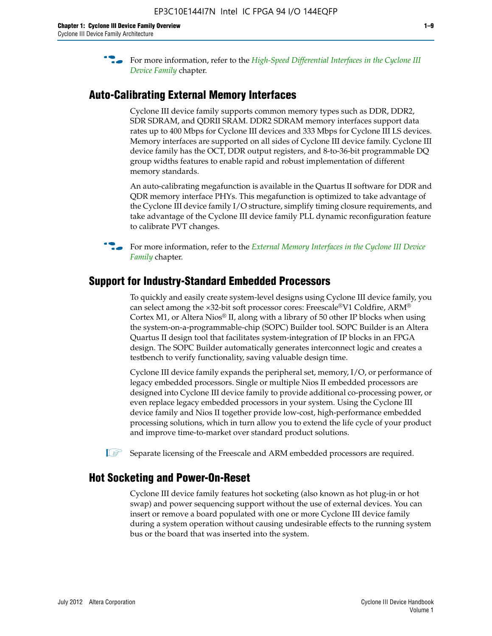**For more information, refer to the** *High-Speed Differential Interfaces in the Cyclone III* $\overline{a}$ *[Device Family](http://www.altera.com/literature/hb/cyc3/cyc3_ciii51008.pdf)* chapter.

#### **Auto-Calibrating External Memory Interfaces**

Cyclone III device family supports common memory types such as DDR, DDR2, SDR SDRAM, and QDRII SRAM. DDR2 SDRAM memory interfaces support data rates up to 400 Mbps for Cyclone III devices and 333 Mbps for Cyclone III LS devices. Memory interfaces are supported on all sides of Cyclone III device family. Cyclone III device family has the OCT, DDR output registers, and 8-to-36-bit programmable DQ group widths features to enable rapid and robust implementation of different memory standards.

An auto-calibrating megafunction is available in the Quartus II software for DDR and QDR memory interface PHYs. This megafunction is optimized to take advantage of the Cyclone III device family I/O structure, simplify timing closure requirements, and take advantage of the Cyclone III device family PLL dynamic reconfiguration feature to calibrate PVT changes.

**For more information, refer to the** *External Memory Interfaces in the Cyclone III Device [Family](http://www.altera.com/literature/hb/cyc3/cyc3_ciii51009.pdf)* chapter.

#### **Support for Industry-Standard Embedded Processors**

To quickly and easily create system-level designs using Cyclone III device family, you can select among the ×32-bit soft processor cores: Freescale®V1 Coldfire, ARM® Cortex M1, or Altera Nios® II, along with a library of 50 other IP blocks when using the system-on-a-programmable-chip (SOPC) Builder tool. SOPC Builder is an Altera Quartus II design tool that facilitates system-integration of IP blocks in an FPGA design. The SOPC Builder automatically generates interconnect logic and creates a testbench to verify functionality, saving valuable design time.

Cyclone III device family expands the peripheral set, memory, I/O, or performance of legacy embedded processors. Single or multiple Nios II embedded processors are designed into Cyclone III device family to provide additional co-processing power, or even replace legacy embedded processors in your system. Using the Cyclone III device family and Nios II together provide low-cost, high-performance embedded processing solutions, which in turn allow you to extend the life cycle of your product and improve time-to-market over standard product solutions.

 $\mathbb{I}$  Separate licensing of the Freescale and ARM embedded processors are required.

#### **Hot Socketing and Power-On-Reset**

Cyclone III device family features hot socketing (also known as hot plug-in or hot swap) and power sequencing support without the use of external devices. You can insert or remove a board populated with one or more Cyclone III device family during a system operation without causing undesirable effects to the running system bus or the board that was inserted into the system.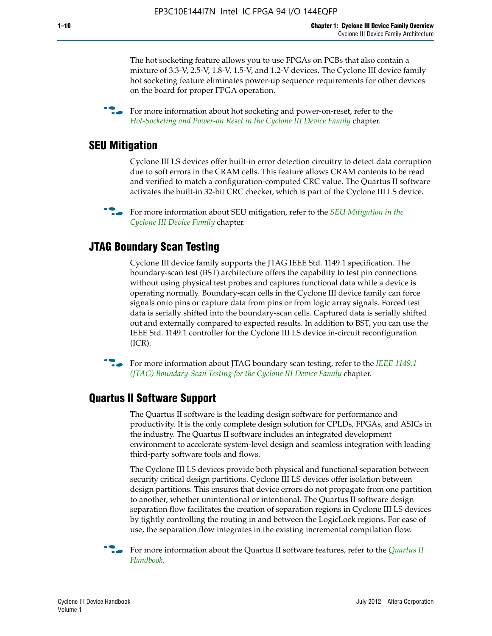The hot socketing feature allows you to use FPGAs on PCBs that also contain a mixture of 3.3-V, 2.5-V, 1.8-V, 1.5-V, and 1.2-V devices. The Cyclone III device family hot socketing feature eliminates power-up sequence requirements for other devices on the board for proper FPGA operation.

For more information about hot socketing and power-on-reset, refer to the *[Hot-Socketing and Power-on Reset in the Cyclone III Device Family](http://www.altera.com/literature/hb/cyc3/cyc3_ciii51011.pdf)* chapter.

#### **SEU Mitigation**

Cyclone III LS devices offer built-in error detection circuitry to detect data corruption due to soft errors in the CRAM cells. This feature allows CRAM contents to be read and verified to match a configuration-computed CRC value. The Quartus II software activates the built-in 32-bit CRC checker, which is part of the Cyclone III LS device.

**For more information about SEU mitigation, refer to the** *SEU Mitigation in the [Cyclone III Device Family](http://www.altera.com/literature/hb/cyc3/cyc3_ciii51013.pdf)* chapter.

#### **JTAG Boundary Scan Testing**

Cyclone III device family supports the JTAG IEEE Std. 1149.1 specification. The boundary-scan test (BST) architecture offers the capability to test pin connections without using physical test probes and captures functional data while a device is operating normally. Boundary-scan cells in the Cyclone III device family can force signals onto pins or capture data from pins or from logic array signals. Forced test data is serially shifted into the boundary-scan cells. Captured data is serially shifted out and externally compared to expected results. In addition to BST, you can use the IEEE Std. 1149.1 controller for the Cyclone III LS device in-circuit reconfiguration (ICR).

**f f**or more information about JTAG boundary scan testing, refer to the *IEEE* 1149.1 *[\(JTAG\) Boundary-Scan Testing for the Cyclone III Device Family](http://www.altera.com/literature/hb/cyc3/cyc3_ciii51014.pdf)* chapter.

#### **Quartus II Software Support**

The Quartus II software is the leading design software for performance and productivity. It is the only complete design solution for CPLDs, FPGAs, and ASICs in the industry. The Quartus II software includes an integrated development environment to accelerate system-level design and seamless integration with leading third-party software tools and flows.

The Cyclone III LS devices provide both physical and functional separation between security critical design partitions. Cyclone III LS devices offer isolation between design partitions. This ensures that device errors do not propagate from one partition to another, whether unintentional or intentional. The Quartus II software design separation flow facilitates the creation of separation regions in Cyclone III LS devices by tightly controlling the routing in and between the LogicLock regions. For ease of use, the separation flow integrates in the existing incremental compilation flow.

f For more information about the Quartus II software features, refer to the *[Quartus II](http://www.altera.com/literature/hb/qts/quartusii_handbook.pdf)  [Handbook](http://www.altera.com/literature/hb/qts/quartusii_handbook.pdf)*.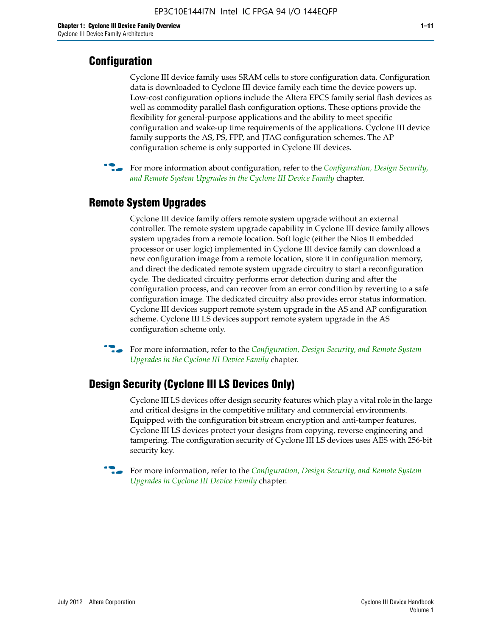#### **Configuration**

Cyclone III device family uses SRAM cells to store configuration data. Configuration data is downloaded to Cyclone III device family each time the device powers up. Low-cost configuration options include the Altera EPCS family serial flash devices as well as commodity parallel flash configuration options. These options provide the flexibility for general-purpose applications and the ability to meet specific configuration and wake-up time requirements of the applications. Cyclone III device family supports the AS, PS, FPP, and JTAG configuration schemes. The AP configuration scheme is only supported in Cyclone III devices.



f For more information about configuration, refer to the *[Configuration, Design Security,](http://www.altera.com/literature/hb/cyc3/cyc3_ciii51016.pdf)  [and Remote System Upgrades in the Cyclone III Device Family](http://www.altera.com/literature/hb/cyc3/cyc3_ciii51016.pdf)* chapter.

#### **Remote System Upgrades**

Cyclone III device family offers remote system upgrade without an external controller. The remote system upgrade capability in Cyclone III device family allows system upgrades from a remote location. Soft logic (either the Nios II embedded processor or user logic) implemented in Cyclone III device family can download a new configuration image from a remote location, store it in configuration memory, and direct the dedicated remote system upgrade circuitry to start a reconfiguration cycle. The dedicated circuitry performs error detection during and after the configuration process, and can recover from an error condition by reverting to a safe configuration image. The dedicated circuitry also provides error status information. Cyclone III devices support remote system upgrade in the AS and AP configuration scheme. Cyclone III LS devices support remote system upgrade in the AS configuration scheme only.

**For more information, refer to the** *Configuration, Design Security, and Remote System [Upgrades in the Cyclone III Device Family](http://www.altera.com/literature/hb/cyc3/cyc3_ciii51016.pdf)* chapter.

#### **Design Security (Cyclone III LS Devices Only)**

Cyclone III LS devices offer design security features which play a vital role in the large and critical designs in the competitive military and commercial environments. Equipped with the configuration bit stream encryption and anti-tamper features, Cyclone III LS devices protect your designs from copying, reverse engineering and tampering. The configuration security of Cyclone III LS devices uses AES with 256-bit security key.

f For more information, refer to the *[Configuration, Design Security, and Remote System](http://www.altera.com/literature/hb/cyc3/cyc3_ciii51016.pdf)  [Upgrades in Cyclone III Device Family](http://www.altera.com/literature/hb/cyc3/cyc3_ciii51016.pdf)* chapter.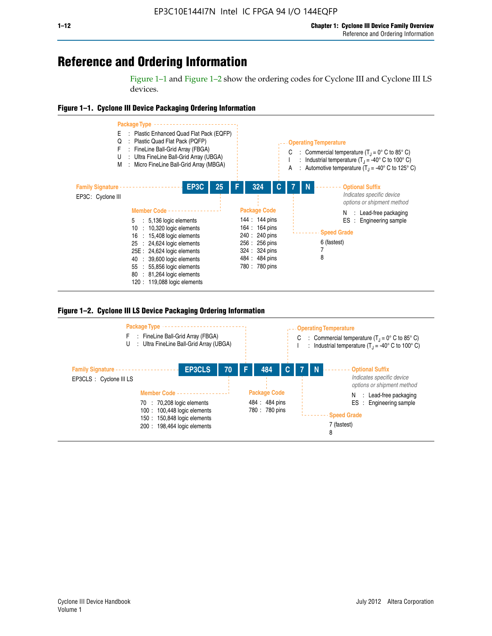## **Reference and Ordering Information**

Figure 1–1 and Figure 1–2 show the ordering codes for Cyclone III and Cyclone III LS devices.







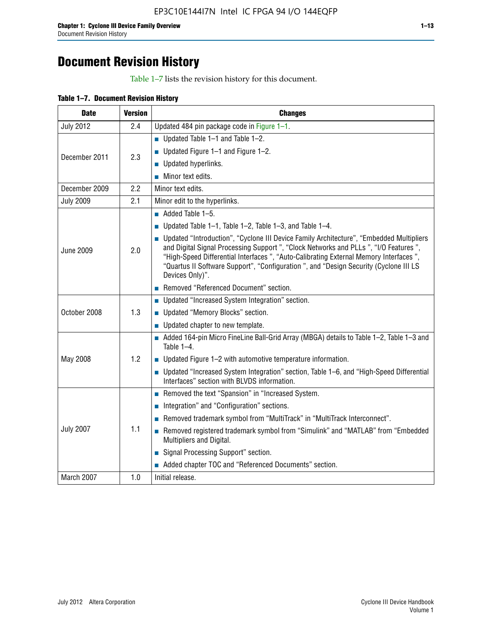# **Document Revision History**

Table 1–7 lists the revision history for this document.

| Table 1-7. Document Revision History |  |  |  |  |
|--------------------------------------|--|--|--|--|
|--------------------------------------|--|--|--|--|

| <b>Date</b>      | <b>Version</b> | <b>Changes</b>                                                                                                                                                                                                                                                                                                                                                                          |
|------------------|----------------|-----------------------------------------------------------------------------------------------------------------------------------------------------------------------------------------------------------------------------------------------------------------------------------------------------------------------------------------------------------------------------------------|
| <b>July 2012</b> | 2.4            | Updated 484 pin package code in Figure 1-1.                                                                                                                                                                                                                                                                                                                                             |
|                  |                | <b>Updated Table 1–1 and Table 1–2.</b>                                                                                                                                                                                                                                                                                                                                                 |
| December 2011    | 2.3            | ■ Updated Figure $1-1$ and Figure $1-2$ .                                                                                                                                                                                                                                                                                                                                               |
|                  |                | $\blacksquare$ Updated hyperlinks.                                                                                                                                                                                                                                                                                                                                                      |
|                  |                | $\blacksquare$ Minor text edits.                                                                                                                                                                                                                                                                                                                                                        |
| December 2009    | 2.2            | Minor text edits.                                                                                                                                                                                                                                                                                                                                                                       |
| <b>July 2009</b> | 2.1            | Minor edit to the hyperlinks.                                                                                                                                                                                                                                                                                                                                                           |
|                  |                | $\blacksquare$ Added Table 1-5.                                                                                                                                                                                                                                                                                                                                                         |
|                  |                | ■ Updated Table 1–1, Table 1–2, Table 1–3, and Table 1–4.                                                                                                                                                                                                                                                                                                                               |
| <b>June 2009</b> | 2.0            | • Updated "Introduction", "Cyclone III Device Family Architecture", "Embedded Multipliers<br>and Digital Signal Processing Support ", "Clock Networks and PLLs ", "I/O Features ",<br>"High-Speed Differential Interfaces ", "Auto-Calibrating External Memory Interfaces",<br>"Quartus II Software Support", "Configuration ", and "Design Security (Cyclone III LS<br>Devices Only)". |
|                  |                | Removed "Referenced Document" section.                                                                                                                                                                                                                                                                                                                                                  |
|                  |                | • Updated "Increased System Integration" section.                                                                                                                                                                                                                                                                                                                                       |
| October 2008     | 1.3            | Updated "Memory Blocks" section.                                                                                                                                                                                                                                                                                                                                                        |
|                  |                | $\blacksquare$ Updated chapter to new template.                                                                                                                                                                                                                                                                                                                                         |
|                  |                | Added 164-pin Micro FineLine Ball-Grid Array (MBGA) details to Table 1-2, Table 1-3 and<br>Table $1-4$ .                                                                                                                                                                                                                                                                                |
| May 2008         | 1.2            | $\blacksquare$ Updated Figure 1-2 with automotive temperature information.                                                                                                                                                                                                                                                                                                              |
|                  |                | ■ Updated "Increased System Integration" section, Table 1–6, and "High-Speed Differential<br>Interfaces" section with BLVDS information.                                                                                                                                                                                                                                                |
|                  |                | Removed the text "Spansion" in "Increased System.                                                                                                                                                                                                                                                                                                                                       |
|                  |                | Integration" and "Configuration" sections.                                                                                                                                                                                                                                                                                                                                              |
|                  |                | Removed trademark symbol from "MultiTrack" in "MultiTrack Interconnect".                                                                                                                                                                                                                                                                                                                |
| <b>July 2007</b> | 1.1            | Removed registered trademark symbol from "Simulink" and "MATLAB" from "Embedded<br>Multipliers and Digital.                                                                                                                                                                                                                                                                             |
|                  |                | Signal Processing Support" section.                                                                                                                                                                                                                                                                                                                                                     |
|                  |                | Added chapter TOC and "Referenced Documents" section.                                                                                                                                                                                                                                                                                                                                   |
| March 2007       | 1.0            | Initial release.                                                                                                                                                                                                                                                                                                                                                                        |